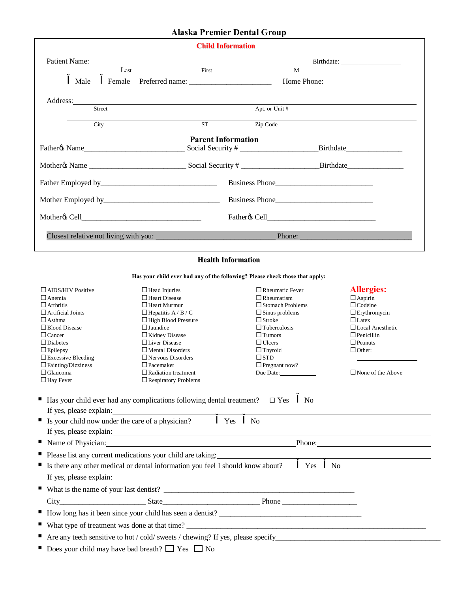## **Alaska Premier Dental Group**

| <b>Child Information</b>                                                                                                                                                                                                       |                   |                           |                |                  |  |
|--------------------------------------------------------------------------------------------------------------------------------------------------------------------------------------------------------------------------------|-------------------|---------------------------|----------------|------------------|--|
| Patient Name: 2008. [2016] The Contract of the Contract of the Contract of the Contract of the Contract of the Contract of the Contract of the Contract of the Contract of the Contract of the Contract of the Contract of the |                   |                           |                |                  |  |
|                                                                                                                                                                                                                                | Last              | First                     | M              |                  |  |
| Male                                                                                                                                                                                                                           |                   |                           |                | Home Phone: 1997 |  |
|                                                                                                                                                                                                                                | Address: No. 2014 |                           |                |                  |  |
| Street                                                                                                                                                                                                                         |                   |                           | Apt. or Unit # |                  |  |
| City                                                                                                                                                                                                                           |                   | <b>ST</b>                 | Zip Code       |                  |  |
|                                                                                                                                                                                                                                |                   | <b>Parent Information</b> |                |                  |  |
|                                                                                                                                                                                                                                |                   |                           |                |                  |  |
|                                                                                                                                                                                                                                |                   |                           |                | Business Phone   |  |
|                                                                                                                                                                                                                                |                   |                           |                | Business Phone   |  |
|                                                                                                                                                                                                                                |                   |                           |                |                  |  |
|                                                                                                                                                                                                                                |                   |                           |                | Phone:           |  |

## **Health Information**

**Has your child ever had any of the following? Please check those that apply:**

| $\Box$ AIDS/HIV Positive                                                                                                                                                                                                       | $\Box$ Head Injuries                                                                                                                                                     | $\Box$ Rheumatic Fever  | <b>Allergies:</b>        |  |  |
|--------------------------------------------------------------------------------------------------------------------------------------------------------------------------------------------------------------------------------|--------------------------------------------------------------------------------------------------------------------------------------------------------------------------|-------------------------|--------------------------|--|--|
| $\Box$ Anemia                                                                                                                                                                                                                  | $\Box$ Heart Disease                                                                                                                                                     | $\Box$ Rheumatism       | $\Box$ Aspirin           |  |  |
| $\Box$ Arthritis                                                                                                                                                                                                               | $\Box$ Heart Murmur                                                                                                                                                      | $\Box$ Stomach Problems | $\Box$ Codeine           |  |  |
| $\Box$ Artificial Joints                                                                                                                                                                                                       | $\Box$ Hepatitis A / B / C                                                                                                                                               | $\Box$ Sinus problems   | $\Box$ Erythromycin      |  |  |
| $\Box$ Asthma                                                                                                                                                                                                                  | $\Box$ High Blood Pressure                                                                                                                                               | $\Box$ Stroke           | $\Box$ Latex             |  |  |
| $\Box$ Blood Disease                                                                                                                                                                                                           | $\Box$ Jaundice                                                                                                                                                          | $\Box$ Tuberculosis     | $\Box$ Local Anesthetic  |  |  |
| $\Box$ Cancer                                                                                                                                                                                                                  | $\Box$ Kidney Disease                                                                                                                                                    | $\Box$ Tumors           | $\Box$ Penicillin        |  |  |
| $\Box$ Diabetes                                                                                                                                                                                                                | $\Box$ Liver Disease                                                                                                                                                     | $\Box$ Ulcers           | $\Box$ Peanuts           |  |  |
| $\Box$ Epilepsy                                                                                                                                                                                                                | $\Box$ Mental Disorders                                                                                                                                                  | $\Box$ Thyroid          | $\Box$ Other:            |  |  |
| $\Box$ Excessive Bleeding                                                                                                                                                                                                      | $\Box$ Nervous Disorders                                                                                                                                                 | $\square$ STD           |                          |  |  |
| $\Box$ Fainting/Dizziness                                                                                                                                                                                                      | $\Box$ Pacemaker                                                                                                                                                         | $\Box$ Pregnant now?    |                          |  |  |
| $\Box$ Glaucoma                                                                                                                                                                                                                | $\Box$ Radiation treatment                                                                                                                                               | Due Date: $\frac{1}{2}$ | $\Box$ None of the Above |  |  |
| $\Box$ Hay Fever                                                                                                                                                                                                               | $\Box$ Respiratory Problems                                                                                                                                              |                         |                          |  |  |
| If Is your child now under the care of a physician?                                                                                                                                                                            | Yes<br>Name of Physician: Name of Physician:<br>Please list any current medications your child are taking:<br>Please list any current medications your child are taking: | N <sub>0</sub>          |                          |  |  |
| ■ Is there any other medical or dental information you feel I should know about?<br><b>Yes</b><br>N <sub>0</sub>                                                                                                               |                                                                                                                                                                          |                         |                          |  |  |
| If yes, please explain: 100 million and the set of the set of the set of the set of the set of the set of the set of the set of the set of the set of the set of the set of the set of the set of the set of the set of the se |                                                                                                                                                                          |                         |                          |  |  |
|                                                                                                                                                                                                                                |                                                                                                                                                                          |                         |                          |  |  |
|                                                                                                                                                                                                                                |                                                                                                                                                                          |                         |                          |  |  |
|                                                                                                                                                                                                                                | How long has it been since your child has seen a dentist?                                                                                                                |                         |                          |  |  |
|                                                                                                                                                                                                                                |                                                                                                                                                                          |                         |                          |  |  |
|                                                                                                                                                                                                                                |                                                                                                                                                                          |                         |                          |  |  |
| Does your child may have bad breath? $\Box$ Yes $\Box$ No                                                                                                                                                                      |                                                                                                                                                                          |                         |                          |  |  |